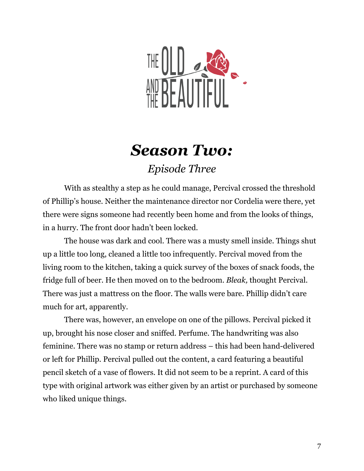

## *Season Two: Episode Three*

With as stealthy a step as he could manage, Percival crossed the threshold of Phillip's house. Neither the maintenance director nor Cordelia were there, yet there were signs someone had recently been home and from the looks of things, in a hurry. The front door hadn't been locked.

The house was dark and cool. There was a musty smell inside. Things shut up a little too long, cleaned a little too infrequently. Percival moved from the living room to the kitchen, taking a quick survey of the boxes of snack foods, the fridge full of beer. He then moved on to the bedroom. *Bleak,* thought Percival. There was just a mattress on the floor. The walls were bare. Phillip didn't care much for art, apparently.

There was, however, an envelope on one of the pillows. Percival picked it up, brought his nose closer and sniffed. Perfume. The handwriting was also feminine. There was no stamp or return address – this had been hand-delivered or left for Phillip. Percival pulled out the content, a card featuring a beautiful pencil sketch of a vase of flowers. It did not seem to be a reprint. A card of this type with original artwork was either given by an artist or purchased by someone who liked unique things.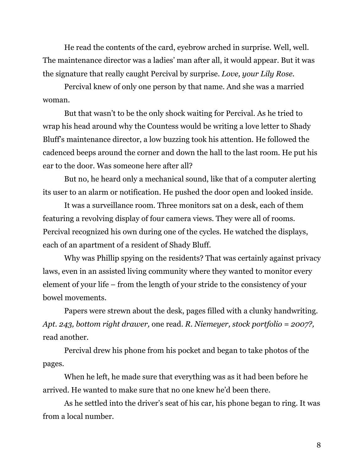He read the contents of the card, eyebrow arched in surprise. Well, well. The maintenance director was a ladies' man after all, it would appear. But it was the signature that really caught Percival by surprise. *Love, your Lily Rose.*

Percival knew of only one person by that name. And she was a married woman.

But that wasn't to be the only shock waiting for Percival. As he tried to wrap his head around why the Countess would be writing a love letter to Shady Bluff's maintenance director, a low buzzing took his attention. He followed the cadenced beeps around the corner and down the hall to the last room. He put his ear to the door. Was someone here after all?

But no, he heard only a mechanical sound, like that of a computer alerting its user to an alarm or notification. He pushed the door open and looked inside.

It was a surveillance room. Three monitors sat on a desk, each of them featuring a revolving display of four camera views. They were all of rooms. Percival recognized his own during one of the cycles. He watched the displays, each of an apartment of a resident of Shady Bluff.

Why was Phillip spying on the residents? That was certainly against privacy laws, even in an assisted living community where they wanted to monitor every element of your life – from the length of your stride to the consistency of your bowel movements.

Papers were strewn about the desk, pages filled with a clunky handwriting. *Apt. 243, bottom right drawer,* one read. *R. Niemeyer, stock portfolio = 2007?,* read another.

Percival drew his phone from his pocket and began to take photos of the pages.

When he left, he made sure that everything was as it had been before he arrived. He wanted to make sure that no one knew he'd been there.

As he settled into the driver's seat of his car, his phone began to ring. It was from a local number.